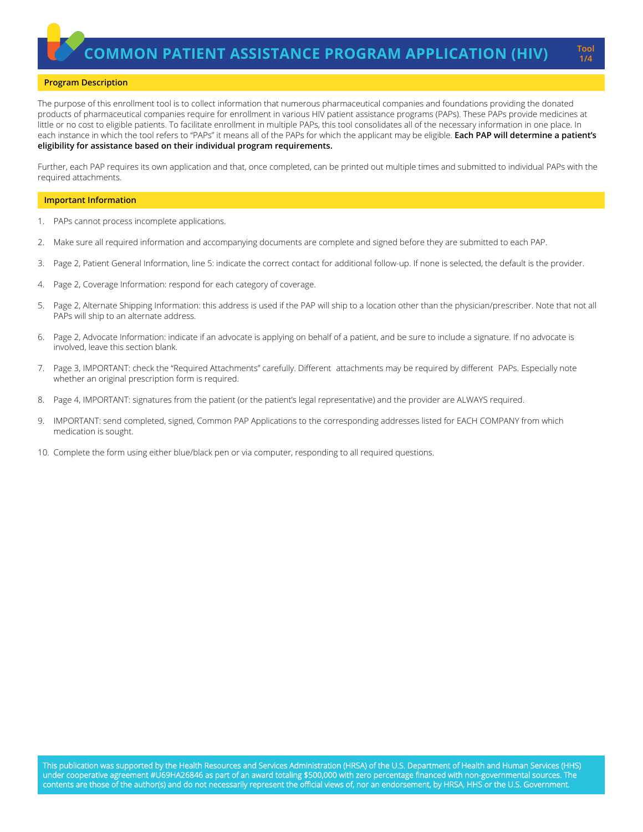**1/4**

### **Program Description**

The purpose of this enrollment tool is to collect information that numerous pharmaceutical companies and foundations providing the donated products of pharmaceutical companies require for enrollment in various HIV patient assistance programs (PAPs). These PAPs provide medicines at little or no cost to eligible patients. To facilitate enrollment in multiple PAPs, this tool consolidates all of the necessary information in one place. In each instance in which the tool refers to "PAPs" it means all of the PAPs for which the applicant may be eligible. **Each PAP will determine a patient's eligibility for assistance based on their individual program requirements.**

Further, each PAP requires its own application and that, once completed, can be printed out multiple times and submitted to individual PAPs with the required attachments.

#### **Important Information**

- 1. PAPs cannot process incomplete applications.
- 2. Make sure all required information and accompanying documents are complete and signed before they are submitted to each PAP.
- 3. Page 2, Patient General Information, line 5: indicate the correct contact for additional follow-up. If none is selected, the default is the provider.
- 4. Page 2, Coverage Information: respond for each category of coverage.
- 5. Page 2, Alternate Shipping Information: this address is used if the PAP will ship to a location other than the physician/prescriber. Note that not all PAPs will ship to an alternate address.
- 6. Page 2, Advocate Information: indicate if an advocate is applying on behalf of a patient, and be sure to include a signature. If no advocate is involved, leave this section blank.
- 7. Page 3, IMPORTANT: check the "Required Attachments" carefully. Different attachments may be required by different PAPs. Especially note whether an original prescription form is required.
- 8. Page 4, IMPORTANT: signatures from the patient (or the patient's legal representative) and the provider are ALWAYS required.
- 9. IMPORTANT: send completed, signed, Common PAP Applications to the corresponding addresses listed for EACH COMPANY from which medication is sought.
- 10. Complete the form using either blue/black pen or via computer, responding to all required questions.

This publication was supported by the Health Resources and Services Administration (HRSA) of the U.S. Department of Health and Human Services (HHS) under cooperative agreement #U69HA26846 as part of an award totaling \$500,000 with zero percentage financed with non-governmental sources. The contents are those of the author(s) and do not necessarily represent the official views of, nor an endorsement, by HRSA, HHS or the U.S. Government.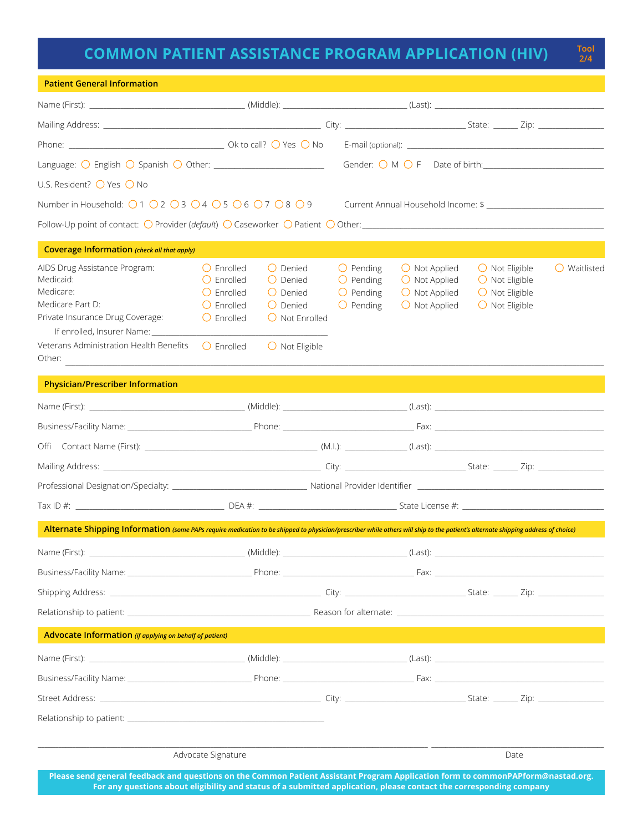# **COMMON PATIENT ASSISTANCE PROGRAM APPLICATION (HIV)**

**2/4**

| <b>Patient General Information</b>                                                                                                                                                                                 |                                                                                                                 |                                                                                                                       |                                                                                      |                                                                                                      |                                                                                                          |                       |
|--------------------------------------------------------------------------------------------------------------------------------------------------------------------------------------------------------------------|-----------------------------------------------------------------------------------------------------------------|-----------------------------------------------------------------------------------------------------------------------|--------------------------------------------------------------------------------------|------------------------------------------------------------------------------------------------------|----------------------------------------------------------------------------------------------------------|-----------------------|
|                                                                                                                                                                                                                    |                                                                                                                 |                                                                                                                       |                                                                                      |                                                                                                      |                                                                                                          |                       |
|                                                                                                                                                                                                                    |                                                                                                                 |                                                                                                                       |                                                                                      |                                                                                                      |                                                                                                          |                       |
|                                                                                                                                                                                                                    |                                                                                                                 |                                                                                                                       |                                                                                      |                                                                                                      |                                                                                                          |                       |
| Language: $\bigcirc$ English $\bigcirc$ Spanish $\bigcirc$ Other: ____________________________                                                                                                                     |                                                                                                                 |                                                                                                                       |                                                                                      | Gender: O M O F Date of birth:                                                                       |                                                                                                          |                       |
| U.S. Resident? ○ Yes ○ No                                                                                                                                                                                          |                                                                                                                 |                                                                                                                       |                                                                                      |                                                                                                      |                                                                                                          |                       |
| Number in Household: $\bigcirc$ 1 $\bigcirc$ 2 $\bigcirc$ 3 $\bigcirc$ 4 $\bigcirc$ 5 $\bigcirc$ 6 $\bigcirc$ 7 $\bigcirc$ 8 $\bigcirc$ 9                                                                          |                                                                                                                 |                                                                                                                       |                                                                                      | Current Annual Household Income: \$ __________________                                               |                                                                                                          |                       |
|                                                                                                                                                                                                                    |                                                                                                                 |                                                                                                                       |                                                                                      |                                                                                                      |                                                                                                          |                       |
| Coverage Information (check all that apply)                                                                                                                                                                        |                                                                                                                 |                                                                                                                       |                                                                                      |                                                                                                      |                                                                                                          |                       |
| AIDS Drug Assistance Program:<br>Medicaid:<br>Medicare:<br>Medicare Part D:<br>Private Insurance Drug Coverage:<br>If enrolled, Insurer Name: _____<br>Veterans Administration Health Benefits $\bigcirc$ Enrolled | $\bigcirc$ Enrolled<br>$\bigcirc$ Enrolled<br>$\bigcirc$ Enrolled<br>$\bigcirc$ Enrolled<br>$\bigcirc$ Enrolled | $O$ Denied<br>O Denied<br>$\bigcirc$ Denied<br>$\bigcap$ Denied<br>$\bigcirc$ Not Enrolled<br>$\bigcirc$ Not Eligible | $\bigcirc$ Pending<br>$\bigcirc$ Pending<br>$\bigcirc$ Pending<br>$\bigcirc$ Pending | $\bigcirc$ Not Applied<br>$\bigcirc$ Not Applied<br>$\bigcirc$ Not Applied<br>$\bigcirc$ Not Applied | $\bigcirc$ Not Eligible<br>$\bigcirc$ Not Eligible<br>$\bigcirc$ Not Eligible<br>$\bigcirc$ Not Eligible | $\bigcirc$ Waitlisted |
| Other:                                                                                                                                                                                                             |                                                                                                                 |                                                                                                                       |                                                                                      |                                                                                                      |                                                                                                          |                       |
| <b>Physician/Prescriber Information</b>                                                                                                                                                                            |                                                                                                                 |                                                                                                                       |                                                                                      |                                                                                                      |                                                                                                          |                       |
|                                                                                                                                                                                                                    |                                                                                                                 |                                                                                                                       |                                                                                      |                                                                                                      |                                                                                                          |                       |
|                                                                                                                                                                                                                    |                                                                                                                 |                                                                                                                       |                                                                                      |                                                                                                      |                                                                                                          |                       |
|                                                                                                                                                                                                                    |                                                                                                                 |                                                                                                                       |                                                                                      |                                                                                                      |                                                                                                          |                       |
|                                                                                                                                                                                                                    |                                                                                                                 |                                                                                                                       |                                                                                      |                                                                                                      |                                                                                                          |                       |
|                                                                                                                                                                                                                    |                                                                                                                 |                                                                                                                       |                                                                                      |                                                                                                      |                                                                                                          |                       |
| $DEA #:$ State License $#$ :                                                                                                                                                                                       |                                                                                                                 |                                                                                                                       |                                                                                      |                                                                                                      |                                                                                                          |                       |
| Alternate Shipping Information (some PAPs require medication to be shipped to physician/prescriber while others will ship to the patient's alternate shipping address of choice)                                   |                                                                                                                 |                                                                                                                       |                                                                                      |                                                                                                      |                                                                                                          |                       |
|                                                                                                                                                                                                                    |                                                                                                                 |                                                                                                                       |                                                                                      |                                                                                                      |                                                                                                          |                       |
|                                                                                                                                                                                                                    |                                                                                                                 |                                                                                                                       |                                                                                      |                                                                                                      |                                                                                                          |                       |
|                                                                                                                                                                                                                    |                                                                                                                 |                                                                                                                       |                                                                                      |                                                                                                      |                                                                                                          |                       |
|                                                                                                                                                                                                                    |                                                                                                                 |                                                                                                                       |                                                                                      |                                                                                                      |                                                                                                          |                       |
| Advocate Information (if applying on behalf of patient)                                                                                                                                                            |                                                                                                                 |                                                                                                                       |                                                                                      |                                                                                                      |                                                                                                          |                       |
|                                                                                                                                                                                                                    |                                                                                                                 |                                                                                                                       |                                                                                      |                                                                                                      |                                                                                                          |                       |
|                                                                                                                                                                                                                    |                                                                                                                 |                                                                                                                       |                                                                                      |                                                                                                      |                                                                                                          |                       |
|                                                                                                                                                                                                                    |                                                                                                                 |                                                                                                                       |                                                                                      |                                                                                                      |                                                                                                          |                       |
|                                                                                                                                                                                                                    |                                                                                                                 |                                                                                                                       |                                                                                      |                                                                                                      |                                                                                                          |                       |
|                                                                                                                                                                                                                    |                                                                                                                 |                                                                                                                       |                                                                                      |                                                                                                      |                                                                                                          |                       |
| Advocate Signature                                                                                                                                                                                                 |                                                                                                                 |                                                                                                                       |                                                                                      |                                                                                                      | Date                                                                                                     |                       |
| <b>Dieses cend general feedback and questions on the Common Patient Assistant Program Annication form to common PAPform@nastad org</b>                                                                             |                                                                                                                 |                                                                                                                       |                                                                                      |                                                                                                      |                                                                                                          |                       |

**Please send general feedback and questions on the Common Patient Assistant Program Application form to commonPAPform@nastad.org. For any questions about eligibility and status of a submitted application, please contact the corresponding company**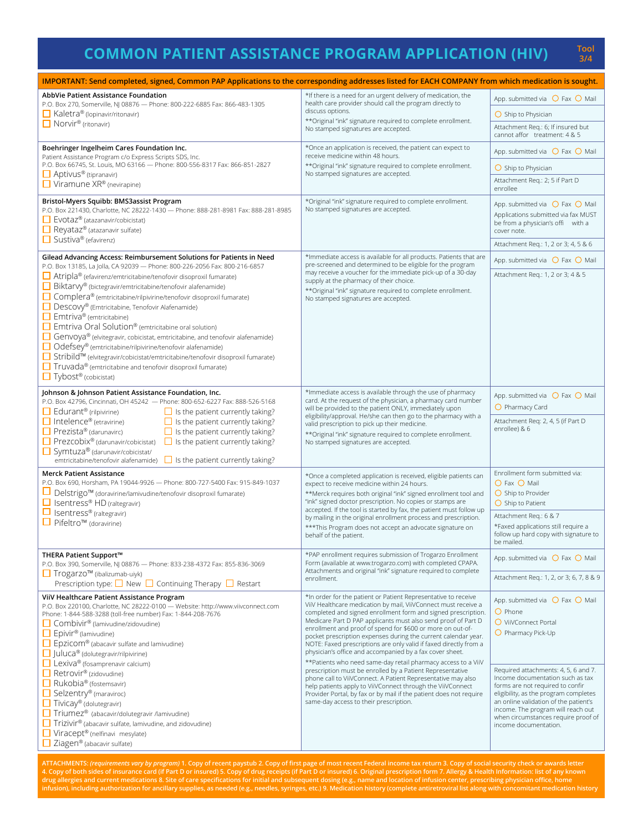# **COMMON PATIENT ASSISTANCE PROGRAM APPLICATION (HIV) Tool**

**3/4**

| IMPORTANT: Send completed, signed, Common PAP Applications to the corresponding addresses listed for EACH COMPANY from which medication is sought.                                                                                                                                                                                                                                                                                                                                                                                                                                                                                                                                                                  |                                                                                                                                                                                                                                                                                                                                                                                                                                                                                                                                                                                                       |                                                                                                                                                                                                                                                                                                      |  |
|---------------------------------------------------------------------------------------------------------------------------------------------------------------------------------------------------------------------------------------------------------------------------------------------------------------------------------------------------------------------------------------------------------------------------------------------------------------------------------------------------------------------------------------------------------------------------------------------------------------------------------------------------------------------------------------------------------------------|-------------------------------------------------------------------------------------------------------------------------------------------------------------------------------------------------------------------------------------------------------------------------------------------------------------------------------------------------------------------------------------------------------------------------------------------------------------------------------------------------------------------------------------------------------------------------------------------------------|------------------------------------------------------------------------------------------------------------------------------------------------------------------------------------------------------------------------------------------------------------------------------------------------------|--|
| <b>AbbVie Patient Assistance Foundation</b><br>P.O. Box 270, Somerville, NJ 08876 - Phone: 800-222-6885 Fax: 866-483-1305                                                                                                                                                                                                                                                                                                                                                                                                                                                                                                                                                                                           | *If there is a need for an urgent delivery of medication, the<br>health care provider should call the program directly to                                                                                                                                                                                                                                                                                                                                                                                                                                                                             | App. submitted via $\bigcirc$ Fax $\bigcirc$ Mail                                                                                                                                                                                                                                                    |  |
| Kaletra® (Iopinavir/ritonavir)                                                                                                                                                                                                                                                                                                                                                                                                                                                                                                                                                                                                                                                                                      | discuss options.<br>** Original "ink" signature required to complete enrollment.                                                                                                                                                                                                                                                                                                                                                                                                                                                                                                                      | $\bigcirc$ Ship to Physician                                                                                                                                                                                                                                                                         |  |
| $\Box$ Norvir <sup>®</sup> (ritonavir)                                                                                                                                                                                                                                                                                                                                                                                                                                                                                                                                                                                                                                                                              | No stamped signatures are accepted.                                                                                                                                                                                                                                                                                                                                                                                                                                                                                                                                                                   | Attachment Reg.: 6; If insured but<br>cannot affor treatment: 4 & 5                                                                                                                                                                                                                                  |  |
| Boehringer Ingelheim Cares Foundation Inc.<br>Patient Assistance Program c/o Express Scripts SDS, Inc.                                                                                                                                                                                                                                                                                                                                                                                                                                                                                                                                                                                                              | *Once an application is received, the patient can expect to<br>receive medicine within 48 hours.                                                                                                                                                                                                                                                                                                                                                                                                                                                                                                      | App. submitted via $\bigcirc$ Fax $\bigcirc$ Mail                                                                                                                                                                                                                                                    |  |
| P.O. Box 66745, St. Louis, MO 63166 - Phone: 800-556-8317 Fax: 866-851-2827<br>$\Box$ Aptivus <sup>®</sup> (tipranavir)                                                                                                                                                                                                                                                                                                                                                                                                                                                                                                                                                                                             | ** Original "ink" signature required to complete enrollment.<br>No stamped signatures are accepted.                                                                                                                                                                                                                                                                                                                                                                                                                                                                                                   | $\bigcirc$ Ship to Physician                                                                                                                                                                                                                                                                         |  |
| $\Box$ Viramune XR® (nevirapine)                                                                                                                                                                                                                                                                                                                                                                                                                                                                                                                                                                                                                                                                                    |                                                                                                                                                                                                                                                                                                                                                                                                                                                                                                                                                                                                       | Attachment Reg.: 2; 5 if Part D<br>enrollee                                                                                                                                                                                                                                                          |  |
| Bristol-Myers Squibb: BMS3assist Program<br>P.O. Box 221430, Charlotte, NC 28222-1430 - Phone: 888-281-8981 Fax: 888-281-8985<br>$\Box$ Evotaz <sup>®</sup> (atazanavir/cobicistat)<br>Reyataz® (atazanavir sulfate)<br>$\Box$ Sustiva® (efavirenz)                                                                                                                                                                                                                                                                                                                                                                                                                                                                 | *Original "ink" signature required to complete enrollment.<br>No stamped signatures are accepted.                                                                                                                                                                                                                                                                                                                                                                                                                                                                                                     | App. submitted via $\bigcirc$ Fax $\bigcirc$ Mail<br>Applications submitted via fax MUST<br>be from a physician's offi with a<br>cover note.                                                                                                                                                         |  |
|                                                                                                                                                                                                                                                                                                                                                                                                                                                                                                                                                                                                                                                                                                                     |                                                                                                                                                                                                                                                                                                                                                                                                                                                                                                                                                                                                       | Attachment Req.: 1, 2 or 3; 4, 5 & 6                                                                                                                                                                                                                                                                 |  |
| Gilead Advancing Access: Reimbursement Solutions for Patients in Need<br>P.O. Box 13185, La Jolla, CA 92039 - Phone: 800-226-2056 Fax: 800-216-6857                                                                                                                                                                                                                                                                                                                                                                                                                                                                                                                                                                 | *Immediate access is available for all products. Patients that are<br>pre-screened and determined to be eligible for the program                                                                                                                                                                                                                                                                                                                                                                                                                                                                      | App. submitted via $\bigcirc$ Fax $\bigcirc$ Mail                                                                                                                                                                                                                                                    |  |
| Atripla® (efavirenz/emtricitabine/tenofovir disoproxil fumarate)<br>Biktarvy® (bictegravir/emtricitabine/tenofovir alafenamide)<br>□ Complera® (emtricitabine/rilpivirine/tenofovir disoproxil fumarate)<br>Descovy® (Emtricitabine, Tenofovir Alafenamide)<br>$\Box$ Emtriva® (emtricitabine)<br>$\Box$ Emtriva Oral Solution <sup>®</sup> (emtricitabine oral solution)<br>Genvoya® (elvitegravir, cobicistat, emtricitabine, and tenofovir alafenamide)<br>□ Odefsey® (emtricitabine/rilpivirine/tenofovir alafenamide)<br>□ Stribild™ (elvitegravir/cobicistat/emtricitabine/tenofovir disoproxil fumarate)<br>$\Box$ Truvada® (emtricitabine and tenofovir disoproxil fumarate)<br>$\Box$ Tybost® (cobicistat) | may receive a voucher for the immediate pick-up of a 30-day<br>supply at the pharmacy of their choice.<br>** Original "ink" signature required to complete enrollment.<br>No stamped signatures are accepted.                                                                                                                                                                                                                                                                                                                                                                                         | Attachment Reg.: 1, 2 or 3; 4 & 5                                                                                                                                                                                                                                                                    |  |
| Johnson & Johnson Patient Assistance Foundation, Inc.<br>P.O. Box 42796, Cincinnati, OH 45242 - Phone: 800-652-6227 Fax: 888-526-5168                                                                                                                                                                                                                                                                                                                                                                                                                                                                                                                                                                               | *Immediate access is available through the use of pharmacy<br>card. At the request of the physician, a pharmacy card number                                                                                                                                                                                                                                                                                                                                                                                                                                                                           | App. submitted via $\bigcirc$ Fax $\bigcirc$ Mail                                                                                                                                                                                                                                                    |  |
| $\Box$ Edurant <sup>®</sup> (rilpivirine)<br>$\Box$ Is the patient currently taking?<br>$\Box$ Intelence <sup>®</sup> (etravirine)<br>$\Box$ Is the patient currently taking?<br>$\Box$ Prezista® (darunavirc)<br>$\Box$ Is the patient currently taking?<br>$\Box$ Prezcobix <sup>®</sup> (darunavir/cobicistat)<br>$\Box$ Is the patient currently taking?<br>Symtuza® (darunavir/cobicistat/<br>emtricitabine/tenofovir alafenamide) $\Box$ Is the patient currently taking?                                                                                                                                                                                                                                     | will be provided to the patient ONLY, immediately upon<br>eligibility/approval. He/she can then go to the pharmacy with a<br>valid prescription to pick up their medicine.<br>** Original "ink" signature required to complete enrollment.<br>No stamped signatures are accepted.                                                                                                                                                                                                                                                                                                                     | O Pharmacy Card<br>Attachment Reg: 2, 4, 5 (if Part D<br>enrollee) & 6                                                                                                                                                                                                                               |  |
| <b>Merck Patient Assistance</b><br>P.O. Box 690, Horsham, PA 19044-9926 - Phone: 800-727-5400 Fax: 915-849-1037                                                                                                                                                                                                                                                                                                                                                                                                                                                                                                                                                                                                     | *Once a completed application is received, eligible patients can                                                                                                                                                                                                                                                                                                                                                                                                                                                                                                                                      | Enrollment form submitted via:                                                                                                                                                                                                                                                                       |  |
| □ Delstrigo <sup>™</sup> (doravirine/lamivudine/tenofovir disoproxil fumarate)<br>$\Box$ Isentress® HD (raltegravir)                                                                                                                                                                                                                                                                                                                                                                                                                                                                                                                                                                                                | expect to receive medicine within 24 hours.<br>**Merck requires both original "ink" signed enrollment tool and<br>"ink" signed doctor prescription. No copies or stamps are                                                                                                                                                                                                                                                                                                                                                                                                                           | O Fax O Mail<br>$\bigcirc$ Ship to Provider<br>$\bigcirc$ Ship to Patient                                                                                                                                                                                                                            |  |
| $\Box$ Isentress® (raltegravir)<br>□ Pifeltro™ (doravirine)                                                                                                                                                                                                                                                                                                                                                                                                                                                                                                                                                                                                                                                         | accepted. If the tool is started by fax, the patient must follow up<br>by mailing in the original enrollment process and prescription.                                                                                                                                                                                                                                                                                                                                                                                                                                                                | Attachment Req.: 6 & 7                                                                                                                                                                                                                                                                               |  |
|                                                                                                                                                                                                                                                                                                                                                                                                                                                                                                                                                                                                                                                                                                                     | *** This Program does not accept an advocate signature on<br>behalf of the patient.                                                                                                                                                                                                                                                                                                                                                                                                                                                                                                                   | *Faxed applications still require a<br>follow up hard copy with signature to<br>be mailed.                                                                                                                                                                                                           |  |
| THERA Patient Support™<br>P.O. Box 390, Somerville, NJ 08876 - Phone: 833-238-4372 Fax: 855-836-3069                                                                                                                                                                                                                                                                                                                                                                                                                                                                                                                                                                                                                | *PAP enrollment requires submission of Trogarzo Enrollment<br>Form (available at www.trogarzo.com) with completed CPAPA.<br>Attachments and original "ink" signature required to complete                                                                                                                                                                                                                                                                                                                                                                                                             | App. submitted via $\bigcirc$ Fax $\bigcirc$ Mail                                                                                                                                                                                                                                                    |  |
| □ Trogarzo <sup>™</sup> (ibalizumab-uiyk)<br>Prescription type: $\Box$ New $\Box$ Continuing Therapy $\Box$ Restart                                                                                                                                                                                                                                                                                                                                                                                                                                                                                                                                                                                                 | enrollment.                                                                                                                                                                                                                                                                                                                                                                                                                                                                                                                                                                                           | Attachment Req.: 1, 2, or 3; 6, 7, 8 & 9                                                                                                                                                                                                                                                             |  |
| ViiV Healthcare Patient Assistance Program<br>P.O. Box 220100, Charlotte, NC 28222-0100 - Website: http://www.viivconnect.com<br>Phone: 1-844-588-3288 (toll-free number) Fax: 1-844-208-7676<br>□ Combivir <sup>®</sup> (lamivudine/zidovudine)<br>Epivir <sup>®</sup> (lamivudine)<br>$\Box$ Epzicom® (abacavir sulfate and lamivudine)<br>$\Box$ Juluca® (dolutegravir/rilpivirine)                                                                                                                                                                                                                                                                                                                              | *In order for the patient or Patient Representative to receive<br>ViiV Healthcare medication by mail, ViiVConnect must receive a<br>completed and signed enrollment form and signed prescription.<br>Medicare Part D PAP applicants must also send proof of Part D<br>enrollment and proof of spend for \$600 or more on out-of-<br>pocket prescription expenses during the current calendar year.<br>NOTE: Faxed prescriptions are only valid if faxed directly from a<br>physician's office and accompanied by a fax cover sheet.<br>** Patients who need same-day retail pharmacy access to a ViiV | App. submitted via $\bigcirc$ Fax $\bigcirc$ Mail<br>$\bigcirc$ Phone<br>O ViiVConnect Portal<br>$\bigcirc$ Pharmacy Pick-Up                                                                                                                                                                         |  |
| Lexiva® (fosamprenavir calcium)<br>Retrovir <sup>®</sup> (zidovudine)<br>$\Box$ Rukobia® (fostemsavir)<br>Selzentry® (maraviroc)<br>$\Box$ Tivicay® (dolutegravir)<br>Triumez <sup>®</sup> (abacavir/dolutegravir /lamivudine)<br>$\Box$ Trizivir® (abacavir sulfate, lamivudine, and zidovudine)<br>Viracept® (nelfinavi mesylate)<br>$\Box$ Ziagen® (abacavir sulfate)                                                                                                                                                                                                                                                                                                                                            | prescription must be enrolled by a Patient Representative<br>phone call to ViiVConnect. A Patient Representative may also<br>help patients apply to ViiVConnect through the ViiVConnect<br>Provider Portal, by fax or by mail if the patient does not require<br>same-day access to their prescription.                                                                                                                                                                                                                                                                                               | Required attachments: 4, 5, 6 and 7.<br>Income documentation such as tax<br>forms are not required to confir<br>eligibility, as the program completes<br>an online validation of the patient's<br>income. The program will reach out<br>when circumstances require proof of<br>income documentation. |  |

ATTACHMENTS: *(requirements vary by program)* 1. Copy of recent paystub 2. Copy of first page of most recent Federal income tax return 3. Copy of social security check or awards letter<br>4. Copy of both sides of insurance c